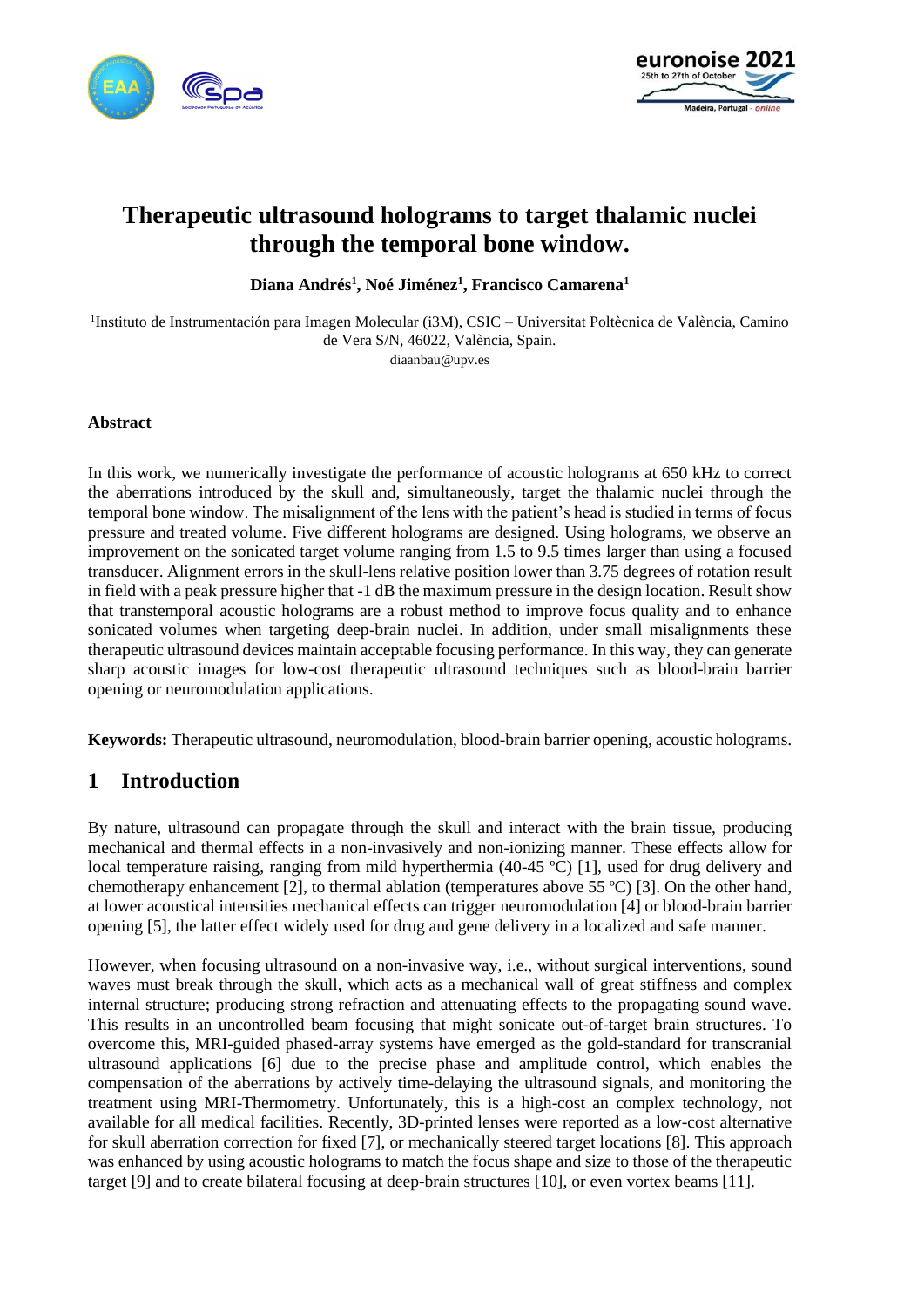



# **Therapeutic ultrasound holograms to target thalamic nuclei through the temporal bone window.**

**Diana Andrés<sup>1</sup> , Noé Jiménez<sup>1</sup> , Francisco Camarena<sup>1</sup>**

<sup>1</sup>Instituto de Instrumentación para Imagen Molecular (i3M), CSIC – Universitat Poltècnica de València, Camino de Vera S/N, 46022, València, Spain. diaanbau@upv.es

#### **Abstract**

In this work, we numerically investigate the performance of acoustic holograms at 650 kHz to correct the aberrations introduced by the skull and, simultaneously, target the thalamic nuclei through the temporal bone window. The misalignment of the lens with the patient's head is studied in terms of focus pressure and treated volume. Five different holograms are designed. Using holograms, we observe an improvement on the sonicated target volume ranging from 1.5 to 9.5 times larger than using a focused transducer. Alignment errors in the skull-lens relative position lower than 3.75 degrees of rotation result in field with a peak pressure higher that -1 dB the maximum pressure in the design location. Result show that transtemporal acoustic holograms are a robust method to improve focus quality and to enhance sonicated volumes when targeting deep-brain nuclei. In addition, under small misalignments these therapeutic ultrasound devices maintain acceptable focusing performance. In this way, they can generate sharp acoustic images for low-cost therapeutic ultrasound techniques such as blood-brain barrier opening or neuromodulation applications.

**Keywords:** Therapeutic ultrasound, neuromodulation, blood-brain barrier opening, acoustic holograms.

# **1 Introduction**

By nature, ultrasound can propagate through the skull and interact with the brain tissue, producing mechanical and thermal effects in a non-invasively and non-ionizing manner. These effects allow for local temperature raising, ranging from mild hyperthermia (40-45 ºC) [1], used for drug delivery and chemotherapy enhancement [2], to thermal ablation (temperatures above 55 ºC) [3]. On the other hand, at lower acoustical intensities mechanical effects can trigger neuromodulation [4] or blood-brain barrier opening [5], the latter effect widely used for drug and gene delivery in a localized and safe manner.

However, when focusing ultrasound on a non-invasive way, i.e., without surgical interventions, sound waves must break through the skull, which acts as a mechanical wall of great stiffness and complex internal structure; producing strong refraction and attenuating effects to the propagating sound wave. This results in an uncontrolled beam focusing that might sonicate out-of-target brain structures. To overcome this, MRI-guided phased-array systems have emerged as the gold-standard for transcranial ultrasound applications [6] due to the precise phase and amplitude control, which enables the compensation of the aberrations by actively time-delaying the ultrasound signals, and monitoring the treatment using MRI-Thermometry. Unfortunately, this is a high-cost an complex technology, not available for all medical facilities. Recently, 3D-printed lenses were reported as a low-cost alternative for skull aberration correction for fixed [7], or mechanically steered target locations [8]. This approach was enhanced by using acoustic holograms to match the focus shape and size to those of the therapeutic target [9] and to create bilateral focusing at deep-brain structures [10], or even vortex beams [11].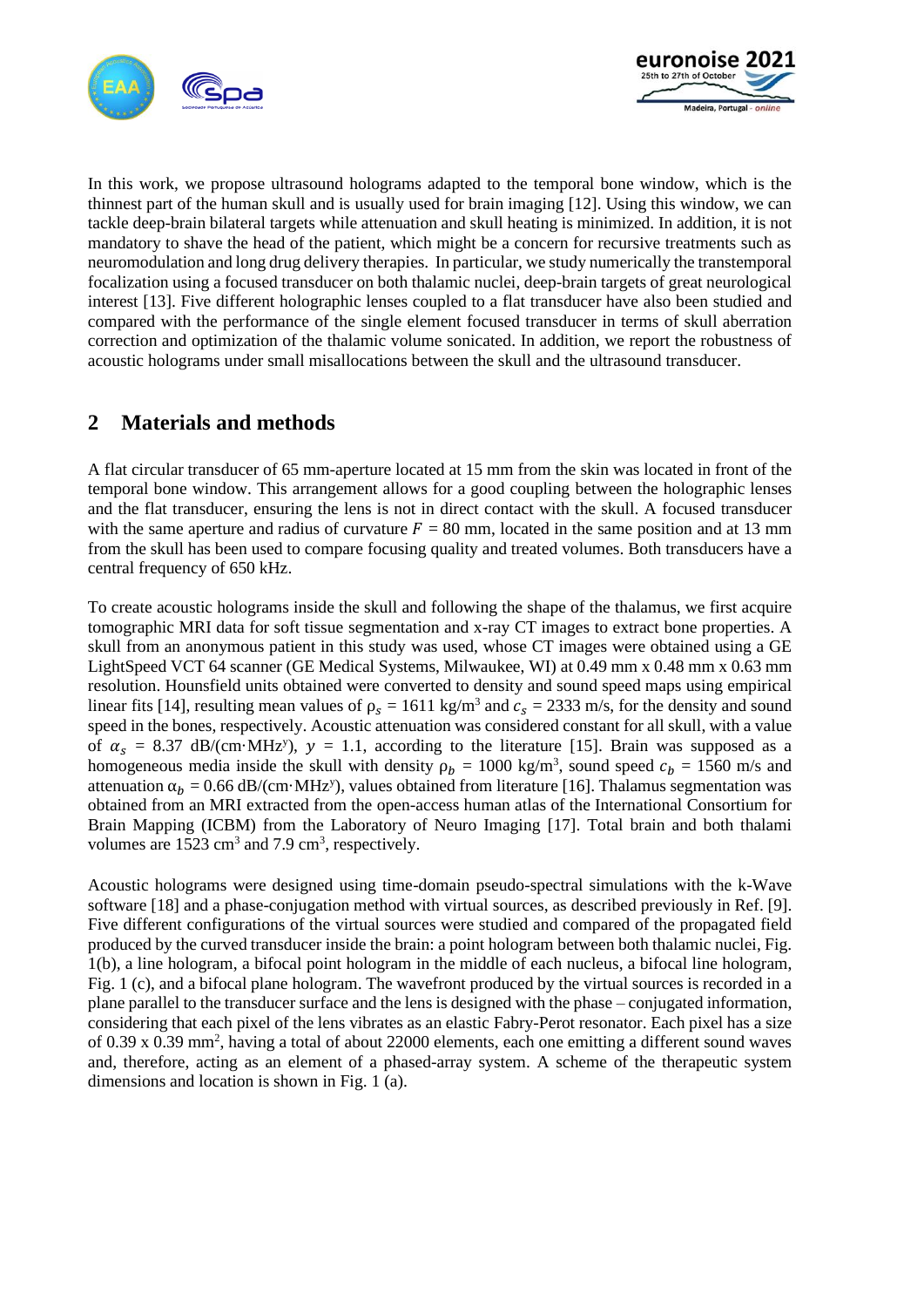



In this work, we propose ultrasound holograms adapted to the temporal bone window, which is the thinnest part of the human skull and is usually used for brain imaging [12]. Using this window, we can tackle deep-brain bilateral targets while attenuation and skull heating is minimized. In addition, it is not mandatory to shave the head of the patient, which might be a concern for recursive treatments such as neuromodulation and long drug delivery therapies. In particular, we study numerically the transtemporal focalization using a focused transducer on both thalamic nuclei, deep-brain targets of great neurological interest [13]. Five different holographic lenses coupled to a flat transducer have also been studied and compared with the performance of the single element focused transducer in terms of skull aberration correction and optimization of the thalamic volume sonicated. In addition, we report the robustness of acoustic holograms under small misallocations between the skull and the ultrasound transducer.

# **2 Materials and methods**

A flat circular transducer of 65 mm-aperture located at 15 mm from the skin was located in front of the temporal bone window. This arrangement allows for a good coupling between the holographic lenses and the flat transducer, ensuring the lens is not in direct contact with the skull. A focused transducer with the same aperture and radius of curvature  $F = 80$  mm, located in the same position and at 13 mm from the skull has been used to compare focusing quality and treated volumes. Both transducers have a central frequency of 650 kHz.

To create acoustic holograms inside the skull and following the shape of the thalamus, we first acquire tomographic MRI data for soft tissue segmentation and x-ray CT images to extract bone properties. A skull from an anonymous patient in this study was used, whose CT images were obtained using a GE LightSpeed VCT 64 scanner (GE Medical Systems, Milwaukee, WI) at 0.49 mm x 0.48 mm x 0.63 mm resolution. Hounsfield units obtained were converted to density and sound speed maps using empirical linear fits [14], resulting mean values of  $\rho_s = 1611 \text{ kg/m}^3$  and  $c_s = 2333 \text{ m/s}$ , for the density and sound speed in the bones, respectively. Acoustic attenuation was considered constant for all skull, with a value of  $\alpha_s$  = 8.37 dB/(cm·MHz<sup>y</sup>),  $y = 1.1$ , according to the literature [15]. Brain was supposed as a homogeneous media inside the skull with density  $\rho_b = 1000 \text{ kg/m}^3$ , sound speed  $c_b = 1560 \text{ m/s}$  and attenuation  $\alpha_b = 0.66$  dB/(cm·MHz<sup>y</sup>), values obtained from literature [16]. Thalamus segmentation was obtained from an MRI extracted from the open-access human atlas of the International Consortium for Brain Mapping (ICBM) from the Laboratory of Neuro Imaging [17]. Total brain and both thalami volumes are  $1523 \text{ cm}^3$  and  $7.9 \text{ cm}^3$ , respectively.

Acoustic holograms were designed using time-domain pseudo-spectral simulations with the k-Wave software [18] and a phase-conjugation method with virtual sources, as described previously in Ref. [9]. Five different configurations of the virtual sources were studied and compared of the propagated field produced by the curved transducer inside the brain: a point hologram between both thalamic nuclei, Fig. 1(b), a line hologram, a bifocal point hologram in the middle of each nucleus, a bifocal line hologram, Fig. 1 (c), and a bifocal plane hologram. The wavefront produced by the virtual sources is recorded in a plane parallel to the transducer surface and the lens is designed with the phase – conjugated information, considering that each pixel of the lens vibrates as an elastic Fabry-Perot resonator. Each pixel has a size of 0.39 x 0.39 mm<sup>2</sup>, having a total of about 22000 elements, each one emitting a different sound waves and, therefore, acting as an element of a phased-array system. A scheme of the therapeutic system dimensions and location is shown in Fig. 1 (a).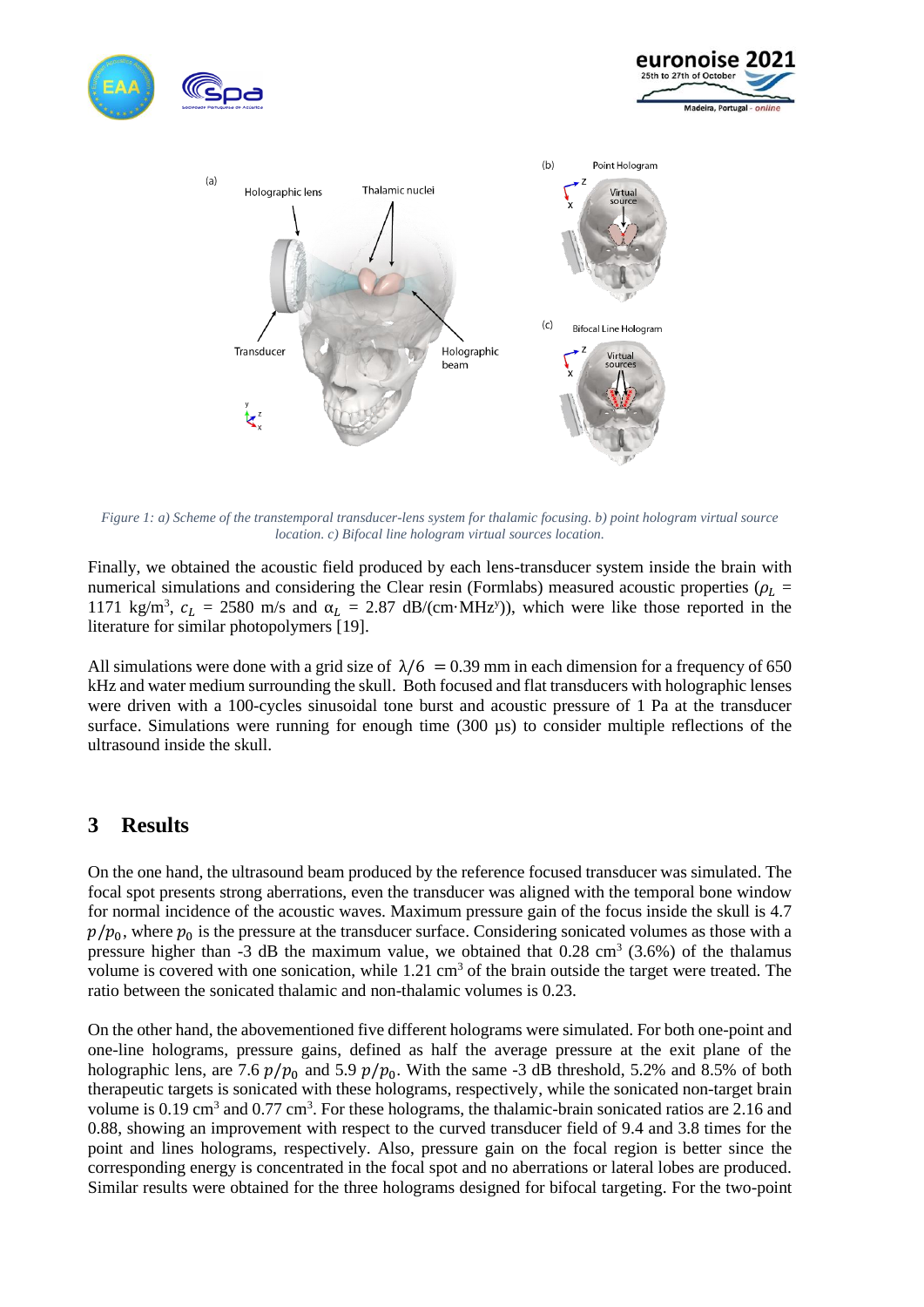





*Figure 1: a) Scheme of the transtemporal transducer-lens system for thalamic focusing. b) point hologram virtual source location. c) Bifocal line hologram virtual sources location.*

Finally, we obtained the acoustic field produced by each lens-transducer system inside the brain with numerical simulations and considering the Clear resin (Formlabs) measured acoustic properties ( $\rho_L$  = 1171 kg/m<sup>3</sup>,  $c_L = 2580$  m/s and  $\alpha_L = 2.87$  dB/(cm·MHz<sup>y</sup>)), which were like those reported in the literature for similar photopolymers [19].

All simulations were done with a grid size of  $\lambda/6 = 0.39$  mm in each dimension for a frequency of 650 kHz and water medium surrounding the skull. Both focused and flat transducers with holographic lenses were driven with a 100-cycles sinusoidal tone burst and acoustic pressure of 1 Pa at the transducer surface. Simulations were running for enough time  $(300 \mu s)$  to consider multiple reflections of the ultrasound inside the skull.

### **3 Results**

On the one hand, the ultrasound beam produced by the reference focused transducer was simulated. The focal spot presents strong aberrations, even the transducer was aligned with the temporal bone window for normal incidence of the acoustic waves. Maximum pressure gain of the focus inside the skull is 4.7  $p/p_0$ , where  $p_0$  is the pressure at the transducer surface. Considering sonicated volumes as those with a pressure higher than -3 dB the maximum value, we obtained that  $0.28 \text{ cm}^3$  (3.6%) of the thalamus volume is covered with one sonication, while  $1.21 \text{ cm}^3$  of the brain outside the target were treated. The ratio between the sonicated thalamic and non-thalamic volumes is 0.23.

On the other hand, the abovementioned five different holograms were simulated. For both one-point and one-line holograms, pressure gains, defined as half the average pressure at the exit plane of the holographic lens, are 7.6  $p/p_0$  and 5.9  $p/p_0$ . With the same -3 dB threshold, 5.2% and 8.5% of both therapeutic targets is sonicated with these holograms, respectively, while the sonicated non-target brain volume is 0.19 cm<sup>3</sup> and 0.77 cm<sup>3</sup>. For these holograms, the thalamic-brain sonicated ratios are 2.16 and 0.88, showing an improvement with respect to the curved transducer field of 9.4 and 3.8 times for the point and lines holograms, respectively. Also, pressure gain on the focal region is better since the corresponding energy is concentrated in the focal spot and no aberrations or lateral lobes are produced. Similar results were obtained for the three holograms designed for bifocal targeting. For the two-point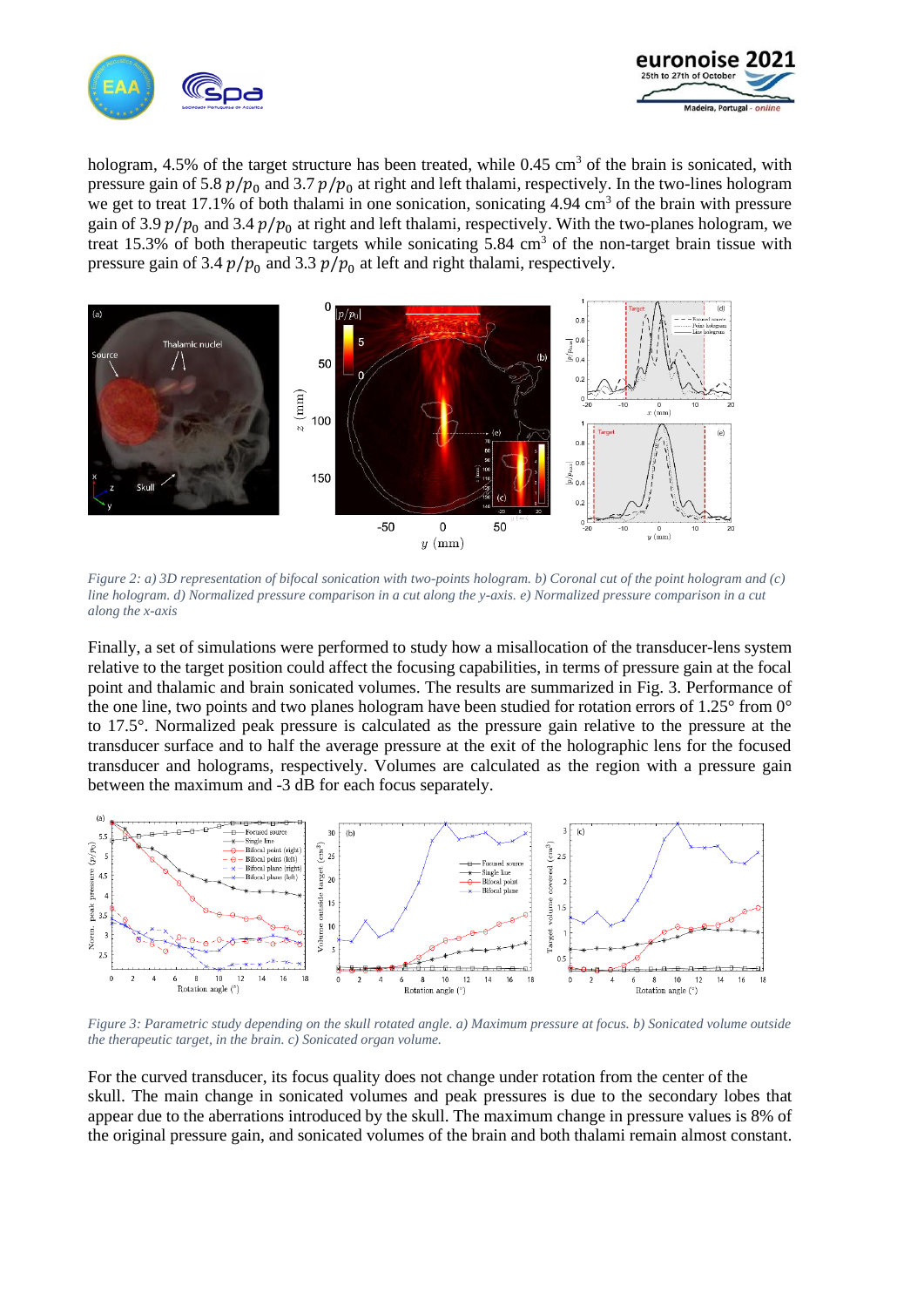



hologram,  $4.5\%$  of the target structure has been treated, while  $0.45 \text{ cm}^3$  of the brain is sonicated, with pressure gain of 5.8  $p/p_0$  and 3.7  $p/p_0$  at right and left thalami, respectively. In the two-lines hologram we get to treat 17.1% of both thalami in one sonication, sonicating  $4.94 \text{ cm}^3$  of the brain with pressure gain of 3.9  $p/p_0$  and 3.4  $p/p_0$  at right and left thalami, respectively. With the two-planes hologram, we treat 15.3% of both therapeutic targets while sonicating  $5.84 \text{ cm}^3$  of the non-target brain tissue with pressure gain of 3.4  $p/p_0$  and 3.3  $p/p_0$  at left and right thalami, respectively.



*Figure 2: a) 3D representation of bifocal sonication with two-points hologram. b) Coronal cut of the point hologram and (c) line hologram. d) Normalized pressure comparison in a cut along the y-axis. e) Normalized pressure comparison in a cut along the x-axis*

Finally, a set of simulations were performed to study how a misallocation of the transducer-lens system relative to the target position could affect the focusing capabilities, in terms of pressure gain at the focal point and thalamic and brain sonicated volumes. The results are summarized in Fig. 3. Performance of the one line, two points and two planes hologram have been studied for rotation errors of 1.25° from 0° to 17.5°. Normalized peak pressure is calculated as the pressure gain relative to the pressure at the transducer surface and to half the average pressure at the exit of the holographic lens for the focused transducer and holograms, respectively. Volumes are calculated as the region with a pressure gain between the maximum and -3 dB for each focus separately.



*Figure 3: Parametric study depending on the skull rotated angle. a) Maximum pressure at focus. b) Sonicated volume outside the therapeutic target, in the brain. c) Sonicated organ volume.*

For the curved transducer, its focus quality does not change under rotation from the center of the skull. The main change in sonicated volumes and peak pressures is due to the secondary lobes that appear due to the aberrations introduced by the skull. The maximum change in pressure values is 8% of the original pressure gain, and sonicated volumes of the brain and both thalami remain almost constant.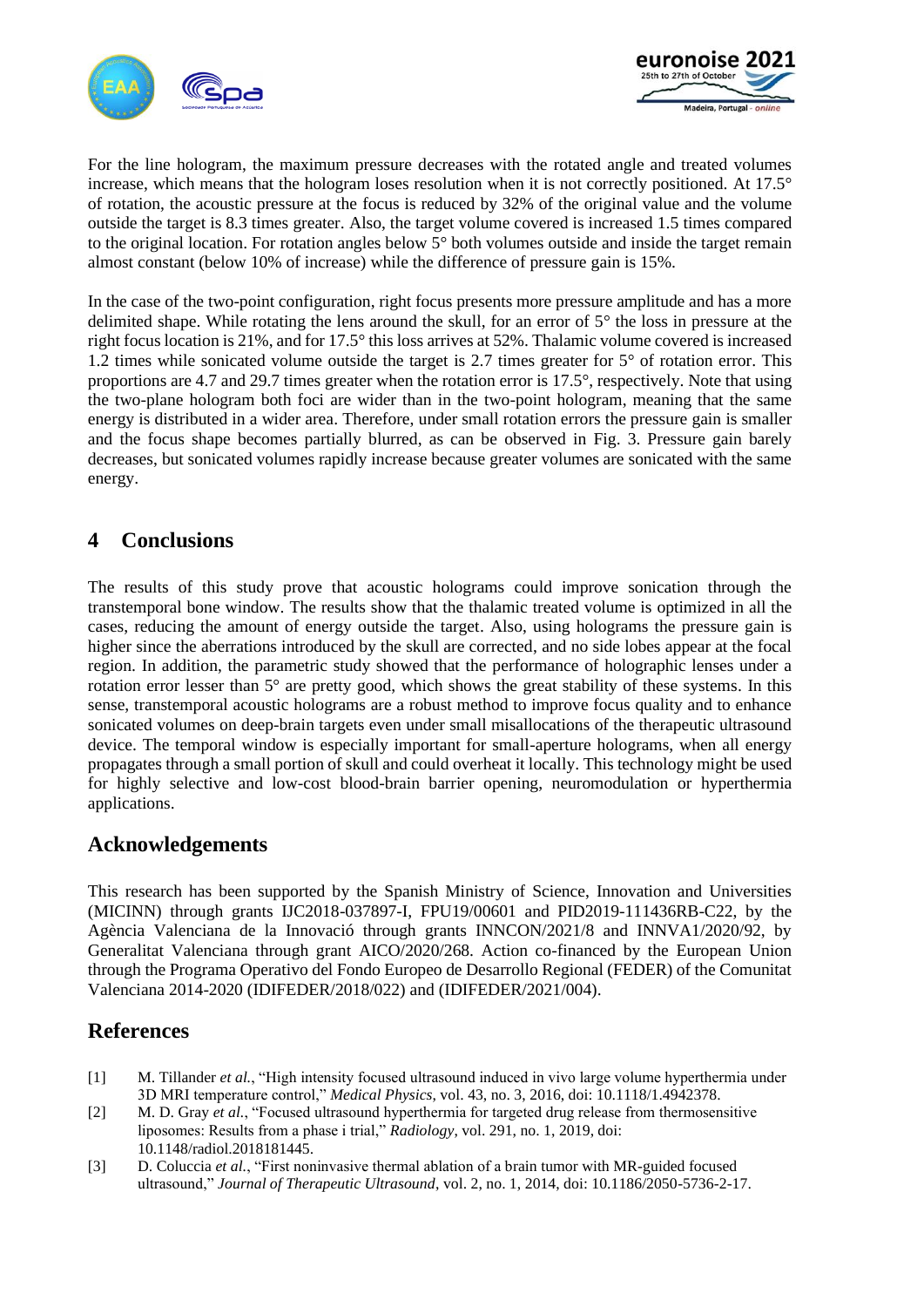



For the line hologram, the maximum pressure decreases with the rotated angle and treated volumes increase, which means that the hologram loses resolution when it is not correctly positioned. At 17.5° of rotation, the acoustic pressure at the focus is reduced by 32% of the original value and the volume outside the target is 8.3 times greater. Also, the target volume covered is increased 1.5 times compared to the original location. For rotation angles below 5° both volumes outside and inside the target remain almost constant (below 10% of increase) while the difference of pressure gain is 15%.

In the case of the two-point configuration, right focus presents more pressure amplitude and has a more delimited shape. While rotating the lens around the skull, for an error of 5° the loss in pressure at the right focus location is 21%, and for 17.5° this loss arrives at 52%. Thalamic volume covered is increased 1.2 times while sonicated volume outside the target is 2.7 times greater for 5° of rotation error. This proportions are 4.7 and 29.7 times greater when the rotation error is 17.5°, respectively. Note that using the two-plane hologram both foci are wider than in the two-point hologram, meaning that the same energy is distributed in a wider area. Therefore, under small rotation errors the pressure gain is smaller and the focus shape becomes partially blurred, as can be observed in Fig. 3. Pressure gain barely decreases, but sonicated volumes rapidly increase because greater volumes are sonicated with the same energy.

### **4 Conclusions**

The results of this study prove that acoustic holograms could improve sonication through the transtemporal bone window. The results show that the thalamic treated volume is optimized in all the cases, reducing the amount of energy outside the target. Also, using holograms the pressure gain is higher since the aberrations introduced by the skull are corrected, and no side lobes appear at the focal region. In addition, the parametric study showed that the performance of holographic lenses under a rotation error lesser than 5° are pretty good, which shows the great stability of these systems. In this sense, transtemporal acoustic holograms are a robust method to improve focus quality and to enhance sonicated volumes on deep-brain targets even under small misallocations of the therapeutic ultrasound device. The temporal window is especially important for small-aperture holograms, when all energy propagates through a small portion of skull and could overheat it locally. This technology might be used for highly selective and low-cost blood-brain barrier opening, neuromodulation or hyperthermia applications.

### **Acknowledgements**

This research has been supported by the Spanish Ministry of Science, Innovation and Universities (MICINN) through grants IJC2018-037897-I, FPU19/00601 and PID2019-111436RB-C22, by the Agència Valenciana de la Innovació through grants INNCON/2021/8 and INNVA1/2020/92, by Generalitat Valenciana through grant AICO/2020/268. Action co-financed by the European Union through the Programa Operativo del Fondo Europeo de Desarrollo Regional (FEDER) of the Comunitat Valenciana 2014-2020 (IDIFEDER/2018/022) and (IDIFEDER/2021/004).

# **References**

- [1] M. Tillander *et al.*, "High intensity focused ultrasound induced in vivo large volume hyperthermia under 3D MRI temperature control," *Medical Physics*, vol. 43, no. 3, 2016, doi: 10.1118/1.4942378.
- [2] M. D. Gray *et al.*, "Focused ultrasound hyperthermia for targeted drug release from thermosensitive liposomes: Results from a phase i trial," *Radiology*, vol. 291, no. 1, 2019, doi: 10.1148/radiol.2018181445.
- [3] D. Coluccia *et al.*, "First noninvasive thermal ablation of a brain tumor with MR-guided focused ultrasound," *Journal of Therapeutic Ultrasound*, vol. 2, no. 1, 2014, doi: 10.1186/2050-5736-2-17.